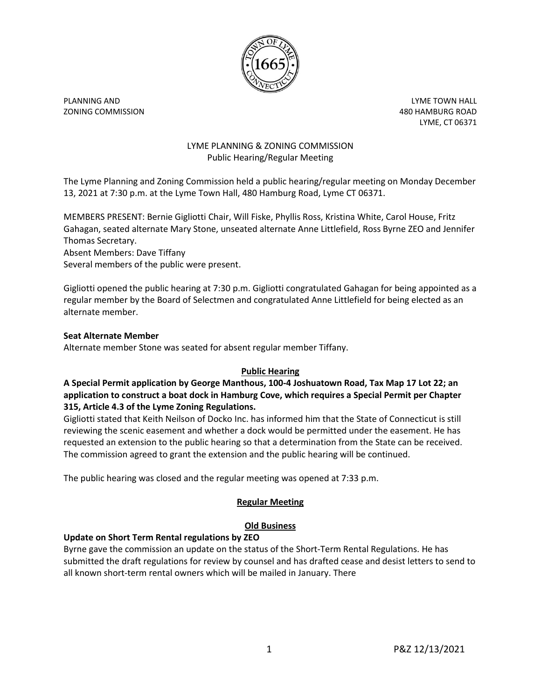

ZONING COMMISSION 480 HAMBURG ROAD

PLANNING AND **PLANNING AND** LYME, CT 06371

## LYME PLANNING & ZONING COMMISSION Public Hearing/Regular Meeting

The Lyme Planning and Zoning Commission held a public hearing/regular meeting on Monday December 13, 2021 at 7:30 p.m. at the Lyme Town Hall, 480 Hamburg Road, Lyme CT 06371.

MEMBERS PRESENT: Bernie Gigliotti Chair, Will Fiske, Phyllis Ross, Kristina White, Carol House, Fritz Gahagan, seated alternate Mary Stone, unseated alternate Anne Littlefield, Ross Byrne ZEO and Jennifer Thomas Secretary.

Absent Members: Dave Tiffany Several members of the public were present.

Gigliotti opened the public hearing at 7:30 p.m. Gigliotti congratulated Gahagan for being appointed as a regular member by the Board of Selectmen and congratulated Anne Littlefield for being elected as an alternate member.

## **Seat Alternate Member**

Alternate member Stone was seated for absent regular member Tiffany.

# **Public Hearing**

## **A Special Permit application by George Manthous, 100-4 Joshuatown Road, Tax Map 17 Lot 22; an application to construct a boat dock in Hamburg Cove, which requires a Special Permit per Chapter 315, Article 4.3 of the Lyme Zoning Regulations.**

Gigliotti stated that Keith Neilson of Docko Inc. has informed him that the State of Connecticut is still reviewing the scenic easement and whether a dock would be permitted under the easement. He has requested an extension to the public hearing so that a determination from the State can be received. The commission agreed to grant the extension and the public hearing will be continued.

The public hearing was closed and the regular meeting was opened at 7:33 p.m.

# **Regular Meeting**

# **Old Business**

# **Update on Short Term Rental regulations by ZEO**

Byrne gave the commission an update on the status of the Short-Term Rental Regulations. He has submitted the draft regulations for review by counsel and has drafted cease and desist letters to send to all known short-term rental owners which will be mailed in January. There